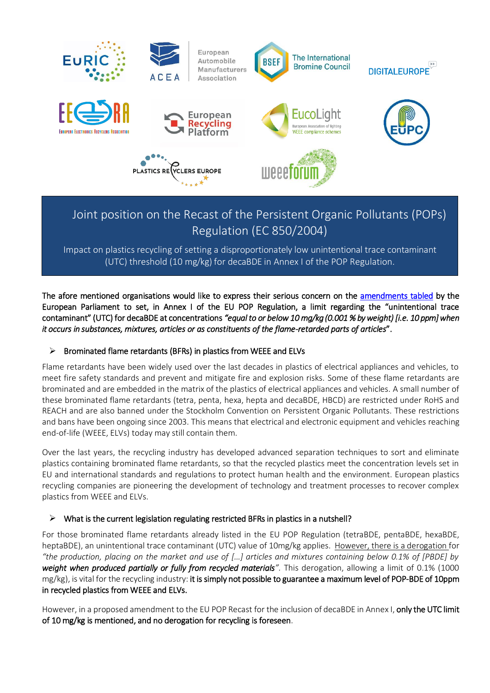

# Joint position on the Recast of the Persistent Organic Pollutants (POPs) Regulation (EC 850/2004)

Impact on plastics recycling of setting a disproportionately low unintentional trace contaminant (UTC) threshold (10 mg/kg) for decaBDE in Annex I of the POP Regulation.

The afore mentioned organisations would like to express their serious concern on the amendments tabled by the European Parliament to set, in Annex I of the EU POP Regulation, a limit regarding the "unintentional trace contaminant" (UTC) for decaBDE at concentrations *"equal to or below 10 mg/kg (0.001 % by weight) [i.e. 10 ppm] when it occurs in substances, mixtures, articles or as constituents of the flame-retarded parts of articles*".

# $\triangleright$  Brominated flame retardants (BFRs) in plastics from WEEE and ELVs

Flame retardants have been widely used over the last decades in plastics of electrical appliances and vehicles, to meet fire safety standards and prevent and mitigate fire and explosion risks. Some of these flame retardants are brominated and are embedded in the matrix of the plastics of electrical appliances and vehicles. A small number of these brominated flame retardants (tetra, penta, hexa, hepta and decaBDE, HBCD) are restricted under RoHS and REACH and are also banned under the Stockholm Convention on Persistent Organic Pollutants. These restrictions and bans have been ongoing since 2003. This means that electrical and electronic equipment and vehicles reaching end-of-life (WEEE, ELVs) today may still contain them.

Over the last years, the recycling industry has developed advanced separation techniques to sort and eliminate plastics containing brominated flame retardants, so that the recycled plastics meet the concentration levels set in EU and international standards and regulations to protect human health and the environment. European plastics recycling companies are pioneering the development of technology and treatment processes to recover complex plastics from WEEE and ELVs.

# $\triangleright$  What is the current legislation regulating restricted BFRs in plastics in a nutshell?

For those brominated flame retardants already listed in the EU POP Regulation (tetraBDE, pentaBDE, hexaBDE, heptaBDE), an unintentional trace contaminant (UTC) value of 10mg/kg applies. However, there is a derogation for *"the production, placing on the market and use of […] articles and mixtures containing below 0.1% of [PBDE] by weight when produced partially or fully from recycled materials".* This derogation, allowing a limit of 0.1% (1000 mg/kg), is vital for the recycling industry: it is simply not possible to guarantee a maximum level of POP-BDE of 10ppm in recycled plastics from WEEE and ELVs.

However, in a proposed amendment to the EU POP Recast for the inclusion of decaBDE in Annex I, only the UTC limit of 10 mg/kg is mentioned, and no derogation for recycling is foreseen.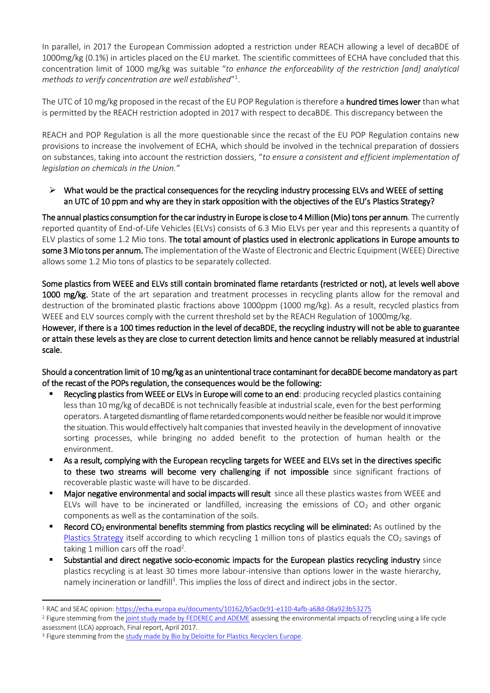In parallel, in 2017 the European Commission adopted a restriction under REACH allowing a level of decaBDE of 1000mg/kg (0.1%) in articles placed on the EU market. The scientific committees of ECHA have concluded that this concentration limit of 1000 mg/kg was suitable "*to enhance the enforceability of the restriction [and] analytical methods to verify concentration are well established*" 1 .

The UTC of 10 mg/kg proposed in the recast of the EU POP Regulation is therefore a **hundred times lower** than what is permitted by the REACH restriction adopted in 2017 with respect to decaBDE. This discrepancy between the

REACH and POP Regulation is all the more questionable since the recast of the EU POP Regulation contains new provisions to increase the involvement of ECHA, which should be involved in the technical preparation of dossiers on substances, taking into account the restriction dossiers, "*to ensure a consistent and efficient implementation of legislation on chemicals in the Union."*

 $\triangleright$  What would be the practical consequences for the recycling industry processing ELVs and WEEE of setting an UTC of 10 ppm and why are they in stark opposition with the objectives of the EU's Plastics Strategy?

The annual plastics consumption for the car industry in Europe is close to 4 Million (Mio) tons per annum. The currently reported quantity of End-of-Life Vehicles (ELVs) consists of 6.3 Mio ELVs per year and this represents a quantity of ELV plastics of some 1.2 Mio tons. The total amount of plastics used in electronic applications in Europe amounts to some 3 Mio tons per annum. The implementation of the Waste of Electronic and Electric Equipment (WEEE) Directive allows some 1.2 Mio tons of plastics to be separately collected.

Some plastics from WEEE and ELVs still contain brominated flame retardants (restricted or not), at levels well above 1000 mg/kg. State of the art separation and treatment processes in recycling plants allow for the removal and destruction of the brominated plastic fractions above 1000ppm (1000 mg/kg). As a result, recycled plastics from WEEE and ELV sources comply with the current threshold set by the REACH Regulation of 1000mg/kg.

However, if there is a 100 times reduction in the level of decaBDE, the recycling industry will not be able to guarantee or attain these levels as they are close to current detection limits and hence cannot be reliably measured at industrial scale.

Should a concentration limit of 10 mg/kg as an unintentional trace contaminant for decaBDE become mandatory as part of the recast of the POPs regulation, the consequences would be the following:

- Recycling plastics from WEEE or ELVs in Europe will come to an end: producing recycled plastics containing less than 10 mg/kg of decaBDE is not technically feasible at industrial scale, even for the best performing operators. A targeted dismantling of flame retardedcomponents would neither be feasible nor would it improve the situation. This would effectively halt companies that invested heavily in the development of innovative sorting processes, while bringing no added benefit to the protection of human health or the environment.
- As a result, complying with the European recycling targets for WEEE and ELVs set in the directives specific to these two streams will become very challenging if not impossible since significant fractions of recoverable plastic waste will have to be discarded.
- **Major negative environmental and social impacts will result** since all these plastics wastes from WEEE and ELVs will have to be incinerated or landfilled, increasing the emissions of  $CO<sub>2</sub>$  and other organic components as well as the contamination of the soils.
- **Record CO<sub>2</sub> environmental benefits stemming from plastics recycling will be eliminated:** As outlined by the [Plastics Strategy](http://ec.europa.eu/environment/circular-economy/pdf/plastics-strategy.pdf) itself according to which recycling 1 million tons of plastics equals the  $CO<sub>2</sub>$  savings of taking 1 million cars off the road<sup>2</sup>.
- Substantial and direct negative socio-economic impacts for the European plastics recycling industry since plastics recycling is at least 30 times more labour-intensive than options lower in the waste hierarchy, namely incineration or landfill<sup>3</sup>. This implies the loss of direct and indirect jobs in the sector.

 $\overline{a}$ <sup>1</sup> RAC and SEAC opinion[: https://echa.europa.eu/documents/10162/b5ac0c91-e110-4afb-a68d-08a923b53275](https://echa.europa.eu/documents/10162/b5ac0c91-e110-4afb-a68d-08a923b53275)

<sup>&</sup>lt;sup>2</sup> Figure stemming from th[e joint study made by FEDEREC and ADEME](https://presse.ademe.fr/wp-content/uploads/2017/05/FEDEREC_ACV-du-Recyclage-en-France-VF.pdf) assessing the environmental impacts of recycling using a life cycle assessment (LCA) approach, Final report, April 2017.

<sup>&</sup>lt;sup>3</sup> Figure stemming from the [study made by Bio by Deloitte for Plastics Recyclers Europe.](https://www.plasticsrecyclers.eu/sites/default/files/BIO_Deloitte_PRE_Plastics%20Recycling%20Impact_Assesment_Final%20Report.pdf)